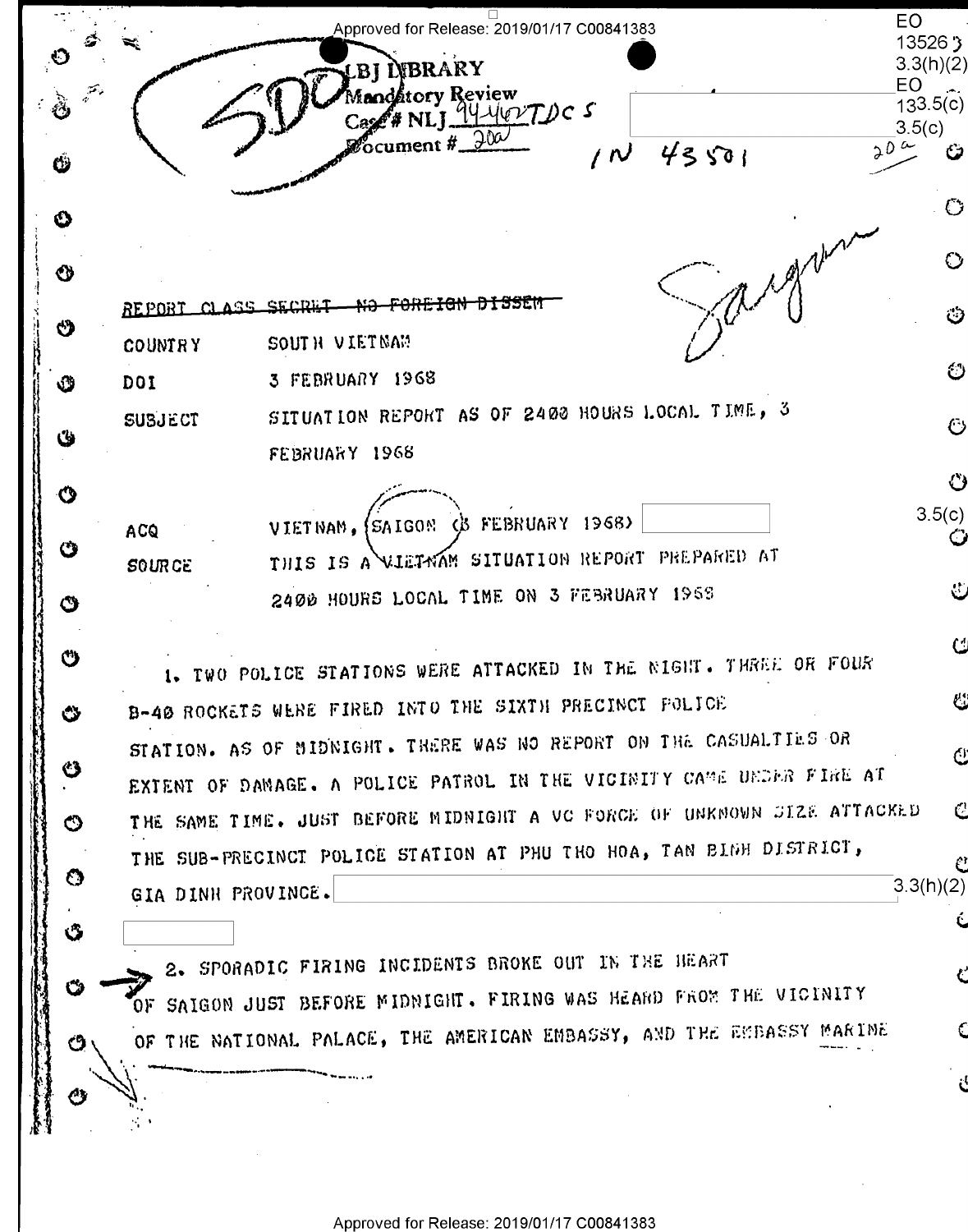EO Approved for Release: 2019/01/17 C00841383  $13526$   $\sqrt{3}$ LBI LVBRARY  $3.3(h)(2)$ EO. Mandátory Review  $133.5(c)$ Case# NLI 14 yevTDC 5  $3.5(c)$ **L**ocument #  $20^{\circ}$  $43501$ ري  $\prime$  N Ŵ Ũ ⊙  $\circ$ ଷ REPORT CLASS SECRET NO FOREIGN DISSEM ථ එ SOUTH VIETNAM **COUNTRY** හ 3 FEBRUARY 1968 DOI Ŵ SITUATION REPORT AS OF 2400 HOURS LOCAL TIME, 3 **SUBJECT**  $\ddot{\circ}$ U FEBRUARY 1968 ↺  $\boldsymbol{\Omega}$  $3.5(c)$ VIETNAM, SAIGON & FEBRUARY 1968) ACQ Ő  $\mathbf C$ THIS IS A WIETWAM SITUATION REPORT PREPARED AT **SOURCE** 2400 HOURS LOCAL TIME ON 3 FEBRUARY 1968 ٿ  $\bullet$ C Ü 1. TWO POLICE STATIONS WERE ATTACKED IN THE NIGHT. THREE OR FOUR B-40 ROCKETS WERE FIRED INTO THE SIXTH PRECINCT POLICE ئا Ô STATION. AS OF MIDNIGHT. THERE WAS NO REPORT ON THE CASUALTIES OR  $\mathcal{O}$ ♨ EXTENT OF DAMAGE. A POLICE PATROL IN THE VICINITY CAME UNDER FIRE AT THE SAME TIME. JUST BEFORE MIDNIGHT A VC FORCE OF UNKNOWN SIZE ATTACKED  $\mathcal{C}$  $\circledcirc$ THE SUB-PRECINCT POLICE STATION AT PHU THO HOA, TAN BIGH DISTRICT, C O  $3.3(h)(2)$ GIA DINH PROVINCE.  $\mathbf G$ 2. SPORADIC FIRING INCIDENTS BROKE OUT IN THE HEART ث OF SAIGON JUST BEFORE MIDNIGHT. FIRING WAS HEARD FROM THE VICINITY OF THE NATIONAL PALACE, THE AMERICAN EMBASSY, AND THE EMBASSY MARINE  $\mathbf{C}$